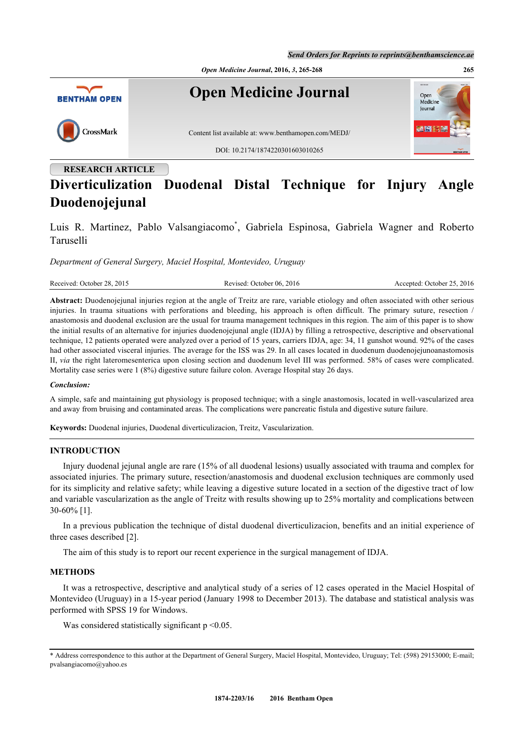*Send Orders for Reprints to reprints@benthamscience.ae*



# **Diverticulization Duodenal Distal Technique for Injury Angle Duodenojejunal**

Luis R. Martinez, Pablo Valsangiacomo[\\*](#page-0-0) , Gabriela Espinosa, Gabriela Wagner and Roberto Taruselli

*Department of General Surgery, Maciel Hospital, Montevideo, Uruguay*

| Received: October 28, 2015 | Revised: October 06, 2016 | Accepted: October 25, 2016 |
|----------------------------|---------------------------|----------------------------|
|                            |                           |                            |

**Abstract:** Duodenojejunal injuries region at the angle of Treitz are rare, variable etiology and often associated with other serious injuries. In trauma situations with perforations and bleeding, his approach is often difficult. The primary suture, resection / anastomosis and duodenal exclusion are the usual for trauma management techniques in this region. The aim of this paper is to show the initial results of an alternative for injuries duodenojejunal angle (IDJA) by filling a retrospective, descriptive and observational technique, 12 patients operated were analyzed over a period of 15 years, carriers IDJA, age: 34, 11 gunshot wound. 92% of the cases had other associated visceral injuries. The average for the ISS was 29. In all cases located in duodenum duodenojejunoanastomosis II, *via* the right lateromesenterica upon closing section and duodenum level III was performed. 58% of cases were complicated. Mortality case series were 1 (8%) digestive suture failure colon. Average Hospital stay 26 days.

#### *Conclusion:*

A simple, safe and maintaining gut physiology is proposed technique; with a single anastomosis, located in well-vascularized area and away from bruising and contaminated areas. The complications were pancreatic fistula and digestive suture failure.

**Keywords:** Duodenal injuries, Duodenal diverticulizacion, Treitz, Vascularization.

# **INTRODUCTION**

Injury duodenal jejunal angle are rare (15% of all duodenal lesions) usually associated with trauma and complex for associated injuries. The primary suture, resection/anastomosis and duodenal exclusion techniques are commonly used for its simplicity and relative safety; while leaving a digestive suture located in a section of the digestive tract of low and variable vascularization as the angle of Treitz with results showing up to 25% mortality and complications between 30-60% [\[1](#page-3-0)].

In a previous publication the technique of distal duodenal diverticulizacion, benefits and an initial experience of three cases described [[2\]](#page-3-1).

The aim of this study is to report our recent experience in the surgical management of IDJA.

# **METHODS**

It was a retrospective, descriptive and analytical study of a series of 12 cases operated in the Maciel Hospital of Montevideo (Uruguay) in a 15-year period (January 1998 to December 2013). The database and statistical analysis was performed with SPSS 19 for Windows.

Was considered statistically significant  $p \leq 0.05$ .

<span id="page-0-0"></span><sup>\*</sup> Address correspondence to this author at the Department of General Surgery, Maciel Hospital, Montevideo, Uruguay; Tel: (598) 29153000; E-mail; [pvalsangiacomo@yahoo.es](mailto:pvalsangiacomo@yahoo.es)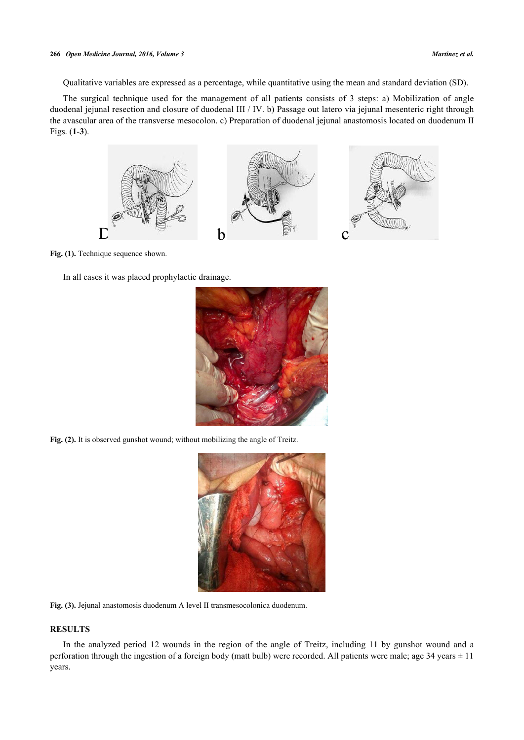#### **266** *Open Medicine Journal, 2016, Volume 3 Martinez et al.*

Qualitative variables are expressed as a percentage, while quantitative using the mean and standard deviation (SD).

<span id="page-1-0"></span>The surgical technique used for the management of all patients consists of 3 steps: a) Mobilization of angle duodenal jejunal resection and closure of duodenal III / IV. b) Passage out latero via jejunal mesenteric right through the avascular area of the transverse mesocolon. c) Preparation of duodenal jejunal anastomosis located on duodenum II Figs. (**[1](#page-1-0)**-**[3](#page-1-1)**).



Fig. (1). Technique sequence shown.

In all cases it was placed prophylactic drainage.



Fig. (2). It is observed gunshot wound; without mobilizing the angle of Treitz.

<span id="page-1-1"></span>

**Fig. (3).** Jejunal anastomosis duodenum A level II transmesocolonica duodenum.

# **RESULTS**

In the analyzed period 12 wounds in the region of the angle of Treitz, including 11 by gunshot wound and a perforation through the ingestion of a foreign body (matt bulb) were recorded. All patients were male; age  $34$  years  $\pm 11$ years.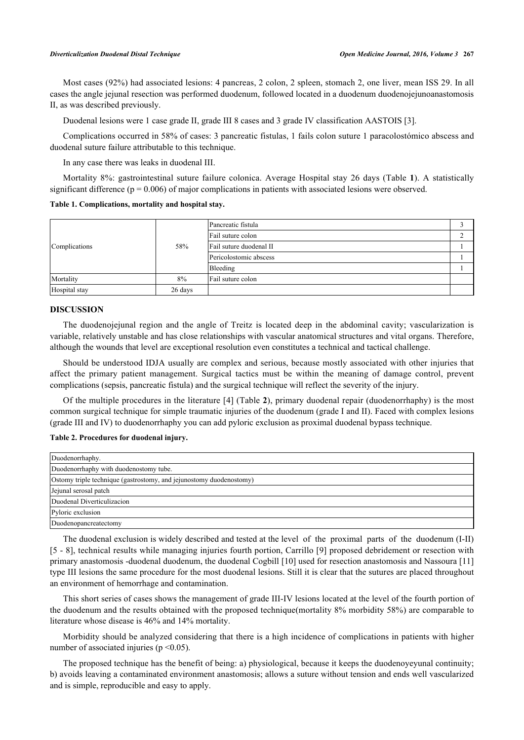Most cases (92%) had associated lesions: 4 pancreas, 2 colon, 2 spleen, stomach 2, one liver, mean ISS 29. In all cases the angle jejunal resection was performed duodenum, followed located in a duodenum duodenojejunoanastomosis II, as was described previously.

Duodenal lesions were 1 case grade II, grade III 8 cases and 3 grade IV classification AASTOIS [[3\]](#page-3-2).

Complications occurred in 58% of cases: 3 pancreatic fistulas, 1 fails colon suture 1 paracolostómico abscess and duodenal suture failure attributable to this technique.

In any case there was leaks in duodenal III.

Mortality 8%: gastrointestinal suture failure colonica. Average Hospital stay 26 days (Table **[1](#page-2-0)**). A statistically significant difference ( $p = 0.006$ ) of major complications in patients with associated lesions were observed.

<span id="page-2-0"></span>**Table 1. Complications, mortality and hospital stay.**

| Complications | 58%     | Pancreatic fistula      |  |
|---------------|---------|-------------------------|--|
|               |         | Fail suture colon       |  |
|               |         | Fail suture duodenal II |  |
|               |         | Pericolostomic abscess  |  |
|               |         | Bleeding                |  |
| Mortality     | 8%      | Fail suture colon       |  |
| Hospital stay | 26 days |                         |  |

### **DISCUSSION**

The duodenojejunal region and the angle of Treitz is located deep in the abdominal cavity; vascularization is variable, relatively unstable and has close relationships with vascular anatomical structures and vital organs. Therefore, although the wounds that level are exceptional resolution even constitutes a technical and tactical challenge.

Should be understood IDJA usually are complex and serious, because mostly associated with other injuries that affect the primary patient management. Surgic[al](#page-3-3) tactics [m](#page-2-1)ust be within the meaning of damage control, prevent complications (sepsis, pancreatic fistula) and the surgical technique will reflect the severity of the injury.

<span id="page-2-1"></span>Of the multiple procedures in the literature [4] (Table **2**), primary duodenal repair (duodenorrhaphy) is the most common surgical technique for simple traumatic injuries of the duodenum (grade I and II). Faced with complex lesions (grade III and IV) to duodenorrhaphy you can add pyloric exclusion as proximal duodenal bypass technique.

### **Table 2. Procedures for duodenal injury.**

| Duodenorrhaphy.                                                     |
|---------------------------------------------------------------------|
| Duodenorrhaphy with duodenostomy tube.                              |
| Ostomy triple technique (gastrostomy, and jejunostomy duodenostomy) |
| Jejunal serosal patch                                               |
| Duodenal Diverticulizacion                                          |
| Pyloric exclusion                                                   |
| Duodenopancreatectomy                                               |

The duodenal exclusion is widely described and tested at the l[eve](#page-3-6)l of the proximal parts of the duodenum (I[-II](#page-3-7)) [5 - 8], technical results while managing injuries fourth portion, Carrillo [9] proposed debridement or resection with primary anastomosis -duodenal duodenum, the duodenal Cogbill [10] used for resection anastomosis and Nassoura [11] type III lesions the same procedure for the most duodenal lesions. Still it is clear that the sutures are placed throughout an environment of hemorrhage and contamination.

This short series of cases shows the management of grade III-IV lesions located at the level of the fourth portion of the duodenum and the results obtained with the proposed technique(mortality 8% morbidity 58%) are comparable to literature whose disease is 46% and 14% mortality.

Morbidity should be analyzed considering that there is a high incidence of complications in patients with higher number of associated injuries ( $p \le 0.05$ ).

The proposed technique has the benefit of being: a) physiological, because it keeps the duodenoyeyunal continuity; b) avoids leaving a contaminated environment anastomosis; allows a suture without tension and ends well vascularized and is simple, reproducible and easy to apply.